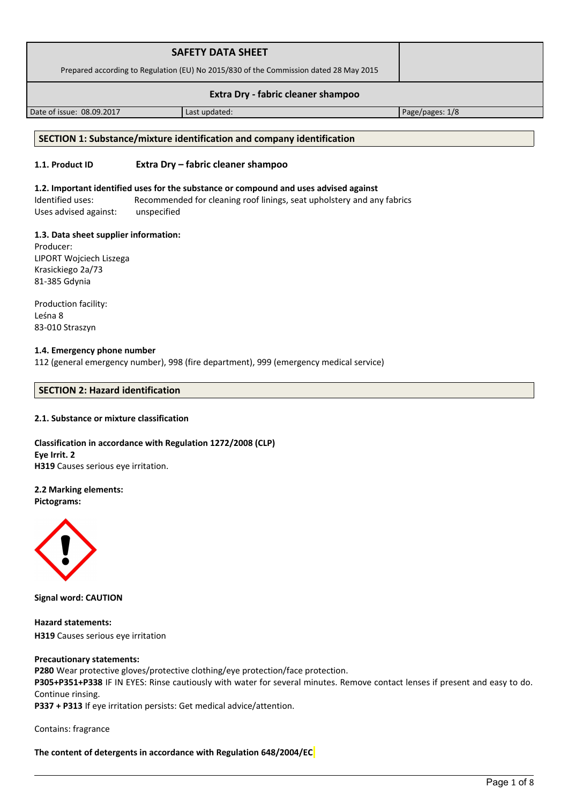| <b>SAFETY DATA SHEET</b>                                                              |               |                 |
|---------------------------------------------------------------------------------------|---------------|-----------------|
| Prepared according to Regulation (EU) No 2015/830 of the Commission dated 28 May 2015 |               |                 |
| Extra Dry - fabric cleaner shampoo                                                    |               |                 |
| Date of issue: 08.09.2017                                                             | Last updated: | Page/pages: 1/8 |

# **SECTION 1: Substance/mixture identification and company identification**

# **1.1. Product ID Extra Dry – fabric cleaner shampoo**

#### **1.2. Important identified uses for the substance or compound and uses advised against**

Identified uses: Recommended for cleaning roof linings, seat upholstery and any fabrics Uses advised against: unspecified

#### **1.3. Data sheet supplier information:**

Producer: LIPORT Wojciech Liszega Krasickiego 2a/73 81-385 Gdynia

Production facility: Leśna 8 83-010 Straszyn

#### **1.4. Emergency phone number** 112 (general emergency number), 998 (fire department), 999 (emergency medical service)

# **SECTION 2: Hazard identification**

# **2.1. Substance or mixture classification**

**Classification in accordance with Regulation 1272/2008 (CLP) Eye Irrit. 2 H319** Causes serious eye irritation.

# **2.2 Marking elements:**

**Pictograms:**



**Signal word: CAUTION**

**Hazard statements: H319** Causes serious eye irritation

#### **Precautionary statements:**

**P280** Wear protective gloves/protective clothing/eye protection/face protection. **P305+P351+P338** IF IN EYES: Rinse cautiously with water for several minutes. Remove contact lenses if present and easy to do. Continue rinsing.

**P337 + P313** If eye irritation persists: Get medical advice/attention.

Contains: fragrance

**The content of detergents in accordance with Regulation 648/2004/EC**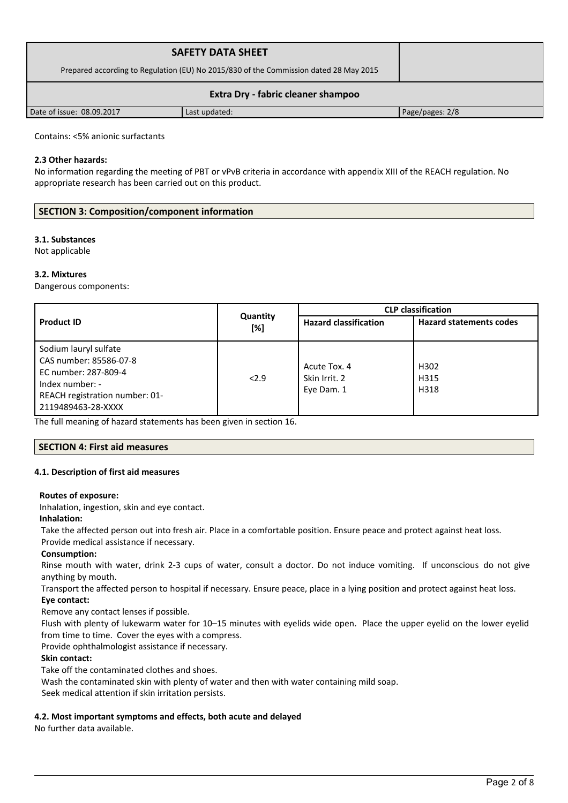| <b>SAFETY DATA SHEET</b><br>Prepared according to Regulation (EU) No 2015/830 of the Commission dated 28 May 2015 |               |                 |  |
|-------------------------------------------------------------------------------------------------------------------|---------------|-----------------|--|
| Extra Dry - fabric cleaner shampoo                                                                                |               |                 |  |
| Date of issue: 08.09.2017                                                                                         | Last updated: | Page/pages: 2/8 |  |

Contains: <5% anionic surfactants

# **2.3 Other hazards:**

No information regarding the meeting of PBT or vPvB criteria in accordance with appendix XIII of the REACH regulation. No appropriate research has been carried out on this product.

# **SECTION 3: Composition/component information**

# **3.1. Substances**

Not applicable

# **3.2. Mixtures**

Dangerous components:

|                                                                                                                                                    |                 | <b>CLP</b> classification                   |                                  |  |
|----------------------------------------------------------------------------------------------------------------------------------------------------|-----------------|---------------------------------------------|----------------------------------|--|
| <b>Product ID</b>                                                                                                                                  | Quantity<br>[%] | <b>Hazard classification</b>                | <b>Hazard statements codes</b>   |  |
| Sodium lauryl sulfate<br>CAS number: 85586-07-8<br>EC number: 287-809-4<br>Index number: -<br>REACH registration number: 01-<br>2119489463-28-XXXX | 2.9             | Acute Tox. 4<br>Skin Irrit. 2<br>Eye Dam. 1 | H <sub>302</sub><br>H315<br>H318 |  |

The full meaning of hazard statements has been given in section 16.

# **SECTION 4: First aid measures**

# **4.1. Description of first aid measures**

# **Routes of exposure:**

Inhalation, ingestion, skin and eye contact.

# **Inhalation:**

Take the affected person out into fresh air. Place in a comfortable position. Ensure peace and protect against heat loss. Provide medical assistance if necessary.

# **Consumption:**

Rinse mouth with water, drink 2-3 cups of water, consult a doctor. Do not induce vomiting. If unconscious do not give anything by mouth.

Transport the affected person to hospital if necessary. Ensure peace, place in a lying position and protect against heat loss.

# **Eye contact:**

Remove any contact lenses if possible.

Flush with plenty of lukewarm water for 10–15 minutes with eyelids wide open. Place the upper eyelid on the lower eyelid from time to time. Cover the eyes with a compress.

Provide ophthalmologist assistance if necessary.

# **Skin contact:**

Take off the contaminated clothes and shoes.

Wash the contaminated skin with plenty of water and then with water containing mild soap.

Seek medical attention if skin irritation persists.

# **4.2. Most important symptoms and effects, both acute and delayed**

No further data available.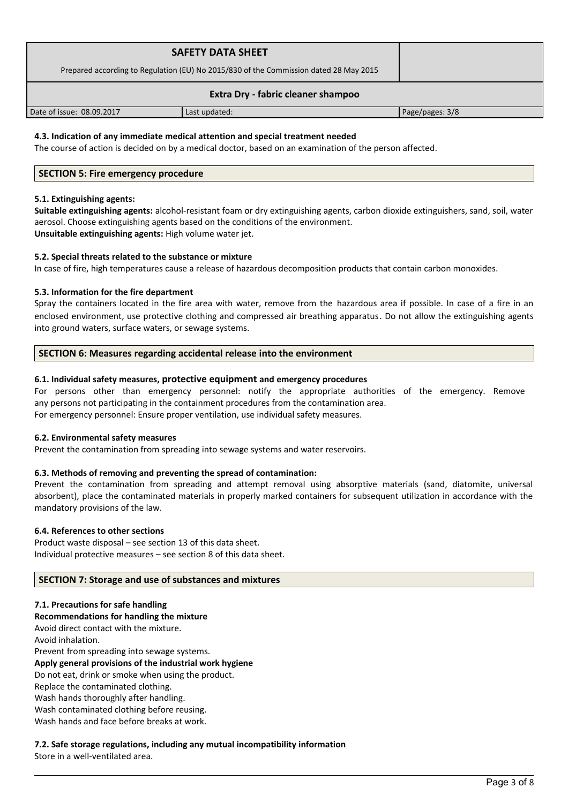| <b>SAFETY DATA SHEET</b><br>Prepared according to Regulation (EU) No 2015/830 of the Commission dated 28 May 2015 |               |                 |  |
|-------------------------------------------------------------------------------------------------------------------|---------------|-----------------|--|
| Extra Dry - fabric cleaner shampoo                                                                                |               |                 |  |
| Date of issue: 08.09.2017                                                                                         | Last updated: | Page/pages: 3/8 |  |

# **4.3. Indication of any immediate medical attention and special treatment needed**

The course of action is decided on by a medical doctor, based on an examination of the person affected.

# **SECTION 5: Fire emergency procedure**

#### **5.1. Extinguishing agents:**

**Suitable extinguishing agents:** alcohol-resistant foam or dry extinguishing agents, carbon dioxide extinguishers, sand, soil, water aerosol. Choose extinguishing agents based on the conditions of the environment. **Unsuitable extinguishing agents:** High volume water jet.

# **5.2. Special threats related to the substance or mixture**

In case of fire, high temperatures cause a release of hazardous decomposition products that contain carbon monoxides.

# **5.3. Information for the fire department**

Spray the containers located in the fire area with water, remove from the hazardous area if possible. In case of a fire in an enclosed environment, use protective clothing and compressed air breathing apparatus. Do not allow the extinguishing agents into ground waters, surface waters, or sewage systems.

# **SECTION 6: Measures regarding accidental release into the environment**

# **6.1. Individual safety measures, protective equipment and emergency procedures**

For persons other than emergency personnel: notify the appropriate authorities of the emergency. Remove any persons not participating in the containment procedures from the contamination area. For emergency personnel: Ensure proper ventilation, use individual safety measures.

# **6.2. Environmental safety measures**

Prevent the contamination from spreading into sewage systems and water reservoirs.

# **6.3. Methods of removing and preventing the spread of contamination:**

Prevent the contamination from spreading and attempt removal using absorptive materials (sand, diatomite, universal absorbent), place the contaminated materials in properly marked containers for subsequent utilization in accordance with the mandatory provisions of the law.

# **6.4. References to other sections**

Product waste disposal – see section 13 of this data sheet. Individual protective measures – see section 8 of this data sheet.

# **SECTION 7: Storage and use of substances and mixtures**

# **7.1. Precautions for safe handling**

**Recommendations for handling the mixture** 

Avoid direct contact with the mixture.

Avoid inhalation.

Prevent from spreading into sewage systems.

# **Apply general provisions of the industrial work hygiene**

Do not eat, drink or smoke when using the product.

Replace the contaminated clothing.

Wash hands thoroughly after handling.

Wash contaminated clothing before reusing.

Wash hands and face before breaks at work.

# **7.2. Safe storage regulations, including any mutual incompatibility information**

Store in a well-ventilated area.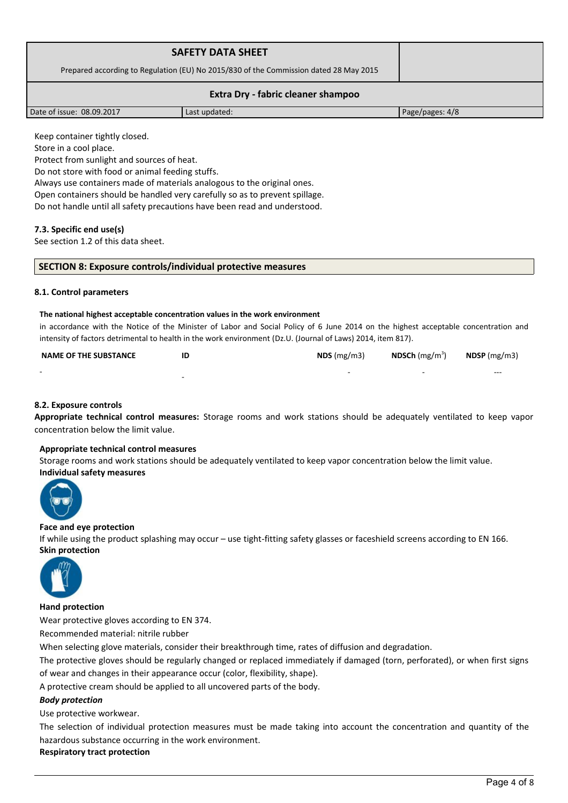| <b>SAFETY DATA SHEET</b>                                                              |               |                 |  |
|---------------------------------------------------------------------------------------|---------------|-----------------|--|
| Prepared according to Regulation (EU) No 2015/830 of the Commission dated 28 May 2015 |               |                 |  |
| Extra Dry - fabric cleaner shampoo                                                    |               |                 |  |
| Date of issue: 08.09.2017                                                             | Last updated: | Page/pages: 4/8 |  |

Keep container tightly closed.

Store in a cool place.

Protect from sunlight and sources of heat.

Do not store with food or animal feeding stuffs.

Always use containers made of materials analogous to the original ones.

Open containers should be handled very carefully so as to prevent spillage.

Do not handle until all safety precautions have been read and understood.

# **7.3. Specific end use(s)**

See section 1.2 of this data sheet.

| SECTION 8: Exposure controls/individual protective measures |
|-------------------------------------------------------------|
|-------------------------------------------------------------|

# **8.1. Control parameters**

#### **The national highest acceptable concentration values in the work environment**

in accordance with the Notice of the Minister of Labor and Social Policy of 6 June 2014 on the highest acceptable concentration and intensity of factors detrimental to health in the work environment (Dz.U. (Journal of Laws) 2014, item 817).

| <b>NAME OF THE SUBSTANCE</b> | ID                       | $NDS$ (mg/m3) | <b>NDSCh</b> (mg/m <sup>3</sup> ) | $N$ DSP (mg/m3) |
|------------------------------|--------------------------|---------------|-----------------------------------|-----------------|
| $\overline{\phantom{0}}$     | $\overline{\phantom{a}}$ |               | $\sim$                            | $- - -$         |

# **8.2. Exposure controls**

**Appropriate technical control measures:** Storage rooms and work stations should be adequately ventilated to keep vapor concentration below the limit value.

# **Appropriate technical control measures**

Storage rooms and work stations should be adequately ventilated to keep vapor concentration below the limit value. **Individual safety measures** 



# **Face and eye protection**

If while using the product splashing may occur – use tight-fitting safety glasses or faceshield screens according to EN 166. **Skin protection** 



# **Hand protection**

Wear protective gloves according to EN 374.

Recommended material: nitrile rubber

When selecting glove materials, consider their breakthrough time, rates of diffusion and degradation.

The protective gloves should be regularly changed or replaced immediately if damaged (torn, perforated), or when first signs of wear and changes in their appearance occur (color, flexibility, shape).

A protective cream should be applied to all uncovered parts of the body.

# *Body protection*

Use protective workwear.

The selection of individual protection measures must be made taking into account the concentration and quantity of the hazardous substance occurring in the work environment.

# **Respiratory tract protection**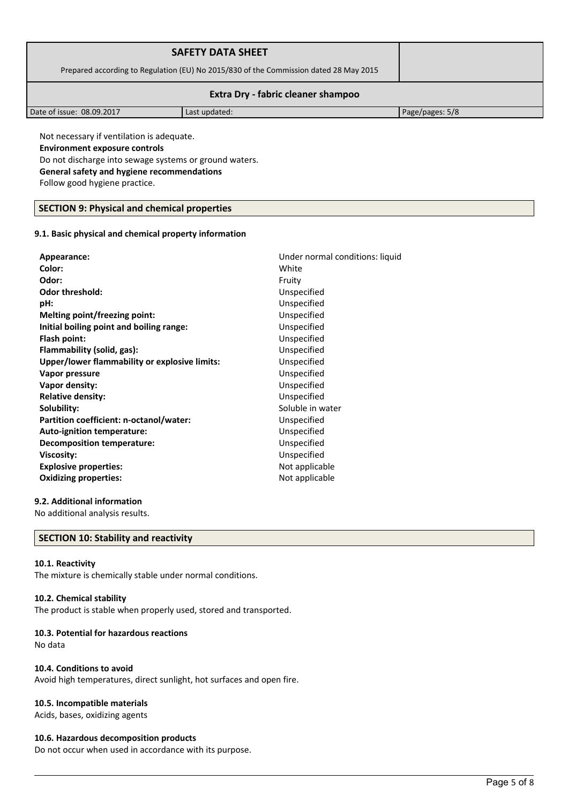| <b>SAFETY DATA SHEET</b>                                                              |               |                 |  |
|---------------------------------------------------------------------------------------|---------------|-----------------|--|
| Prepared according to Regulation (EU) No 2015/830 of the Commission dated 28 May 2015 |               |                 |  |
| Extra Dry - fabric cleaner shampoo                                                    |               |                 |  |
| Date of issue: 08.09.2017                                                             | Last updated: | Page/pages: 5/8 |  |

Not necessary if ventilation is adequate. **Environment exposure controls**  Do not discharge into sewage systems or ground waters. **General safety and hygiene recommendations** Follow good hygiene practice.

# **SECTION 9: Physical and chemical properties**

#### **9.1. Basic physical and chemical property information**

| Appearance:                                   | Under normal conditions: liquid |
|-----------------------------------------------|---------------------------------|
| Color:                                        | White                           |
| Odor:                                         | Fruity                          |
| <b>Odor threshold:</b>                        | Unspecified                     |
| pH:                                           | Unspecified                     |
| Melting point/freezing point:                 | Unspecified                     |
| Initial boiling point and boiling range:      | Unspecified                     |
| Flash point:                                  | Unspecified                     |
| Flammability (solid, gas):                    | Unspecified                     |
| Upper/lower flammability or explosive limits: | Unspecified                     |
| Vapor pressure                                | Unspecified                     |
| Vapor density:                                | Unspecified                     |
| <b>Relative density:</b>                      | Unspecified                     |
| Solubility:                                   | Soluble in water                |
| Partition coefficient: n-octanol/water:       | Unspecified                     |
| Auto-ignition temperature:                    | Unspecified                     |
| Decomposition temperature:                    | Unspecified                     |
| Viscosity:                                    | Unspecified                     |
| <b>Explosive properties:</b>                  | Not applicable                  |
| <b>Oxidizing properties:</b>                  | Not applicable                  |
|                                               |                                 |

# **9.2. Additional information**

No additional analysis results.

# **SECTION 10: Stability and reactivity**

#### **10.1. Reactivity**

The mixture is chemically stable under normal conditions.

#### **10.2. Chemical stability**

The product is stable when properly used, stored and transported.

# **10.3. Potential for hazardous reactions**

No data

# **10.4. Conditions to avoid**

Avoid high temperatures, direct sunlight, hot surfaces and open fire.

# **10.5. Incompatible materials**

Acids, bases, oxidizing agents

# **10.6. Hazardous decomposition products**

Do not occur when used in accordance with its purpose.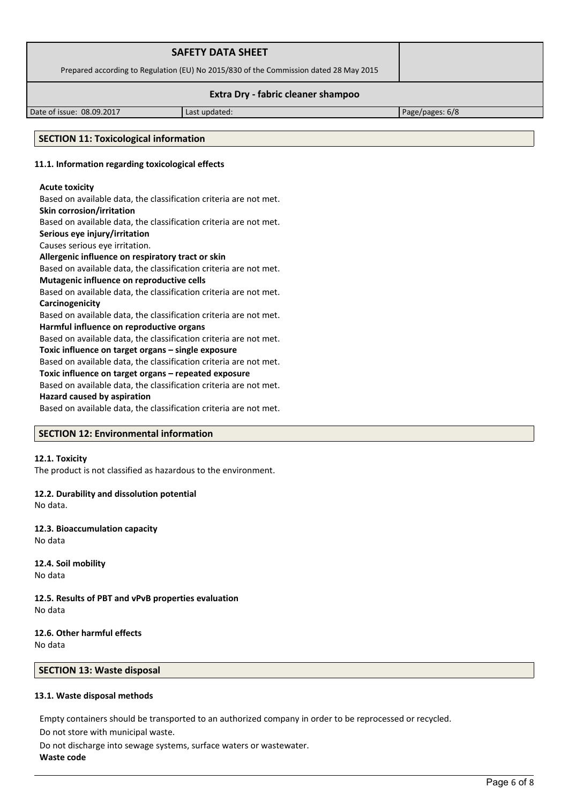| <b>SAFETY DATA SHEET</b>                                                              |               |                 |  |
|---------------------------------------------------------------------------------------|---------------|-----------------|--|
| Prepared according to Regulation (EU) No 2015/830 of the Commission dated 28 May 2015 |               |                 |  |
| Extra Dry - fabric cleaner shampoo                                                    |               |                 |  |
| Date of issue: 08.09.2017                                                             | Last updated: | Page/pages: 6/8 |  |

# **SECTION 11: Toxicological information**

# **11.1. Information regarding toxicological effects**

# **Acute toxicity**

Based on available data, the classification criteria are not met. **Skin corrosion/irritation**

Based on available data, the classification criteria are not met.

**Serious eye injury/irritation**

Causes serious eye irritation.

# **Allergenic influence on respiratory tract or skin**

Based on available data, the classification criteria are not met.

**Mutagenic influence on reproductive cells**

Based on available data, the classification criteria are not met. **Carcinogenicity**

Based on available data, the classification criteria are not met. **Harmful influence on reproductive organs**

Based on available data, the classification criteria are not met.

**Toxic influence on target organs – single exposure**

Based on available data, the classification criteria are not met.

**Toxic influence on target organs – repeated exposure**

Based on available data, the classification criteria are not met.

# **Hazard caused by aspiration**

Based on available data, the classification criteria are not met.

# **SECTION 12: Environmental information**

# **12.1. Toxicity**

The product is not classified as hazardous to the environment.

**12.2. Durability and dissolution potential** No data.

**12.3. Bioaccumulation capacity** No data

**12.4. Soil mobility** No data

**12.5. Results of PBT and vPvB properties evaluation** No data

#### **12.6. Other harmful effects** No data

**SECTION 13: Waste disposal**

# **13.1. Waste disposal methods**

Empty containers should be transported to an authorized company in order to be reprocessed or recycled. Do not store with municipal waste.

Do not discharge into sewage systems, surface waters or wastewater. **Waste code**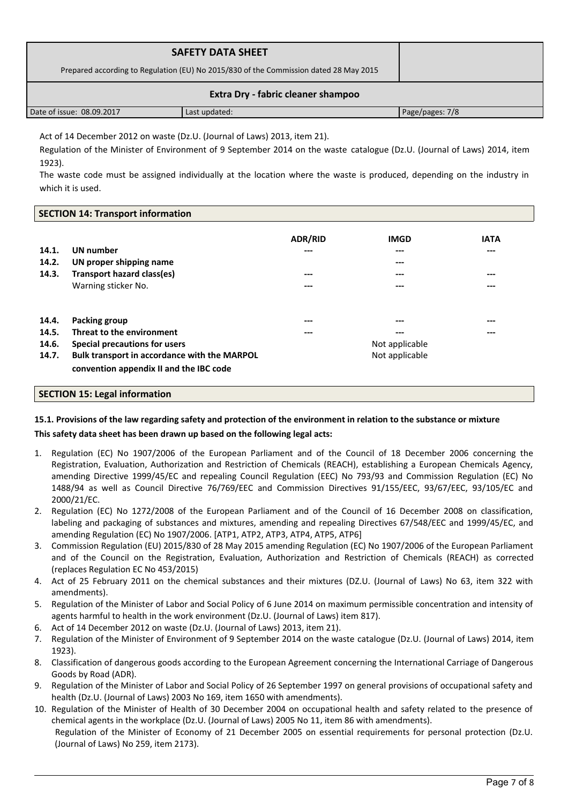| <b>SAFETY DATA SHEET</b><br>Prepared according to Regulation (EU) No 2015/830 of the Commission dated 28 May 2015 |               |                 |  |
|-------------------------------------------------------------------------------------------------------------------|---------------|-----------------|--|
|                                                                                                                   |               |                 |  |
| Extra Dry - fabric cleaner shampoo                                                                                |               |                 |  |
| Date of issue: 08.09.2017                                                                                         | Last updated: | Page/pages: 7/8 |  |

Act of 14 December 2012 on waste (Dz.U. (Journal of Laws) 2013, item 21).

Regulation of the Minister of Environment of 9 September 2014 on the waste catalogue (Dz.U. (Journal of Laws) 2014, item 1923).

The waste code must be assigned individually at the location where the waste is produced, depending on the industry in which it is used.

# **SECTION 14: Transport information**

| 14.1.<br>14.2.<br>14.3. | <b>UN</b> number<br>UN proper shipping name<br>Transport hazard class(es)<br>Warning sticker No. | <b>ADR/RID</b><br>---<br>---<br>--- | <b>IMGD</b><br>---<br>---<br>$---$<br>$---$ | <b>IATA</b><br>$---$<br>$---$<br>$---$ |
|-------------------------|--------------------------------------------------------------------------------------------------|-------------------------------------|---------------------------------------------|----------------------------------------|
| 14.4.                   | Packing group                                                                                    | ---                                 | ---                                         | $---$                                  |
| 14.5.                   | Threat to the environment                                                                        | ---                                 | ---                                         | $---$                                  |
| 14.6.                   | Special precautions for users                                                                    |                                     | Not applicable                              |                                        |
| 14.7.                   | Bulk transport in accordance with the MARPOL<br>convention appendix II and the IBC code          |                                     | Not applicable                              |                                        |

# **SECTION 15: Legal information**

# **15.1. Provisions of the law regarding safety and protection of the environment in relation to the substance or mixture**

# **This safety data sheet has been drawn up based on the following legal acts:**

- 1. Regulation (EC) No 1907/2006 of the European Parliament and of the Council of 18 December 2006 concerning the Registration, Evaluation, Authorization and Restriction of Chemicals (REACH), establishing a European Chemicals Agency, amending Directive 1999/45/EC and repealing Council Regulation (EEC) No 793/93 and Commission Regulation (EC) No 1488/94 as well as Council Directive 76/769/EEC and Commission Directives 91/155/EEC, 93/67/EEC, 93/105/EC and 2000/21/EC.
- 2. Regulation (EC) No 1272/2008 of the European Parliament and of the Council of 16 December 2008 on classification, labeling and packaging of substances and mixtures, amending and repealing Directives 67/548/EEC and 1999/45/EC, and amending Regulation (EC) No 1907/2006. [ATP1, ATP2, ATP3, ATP4, ATP5, ATP6]
- 3. Commission Regulation (EU) 2015/830 of 28 May 2015 amending Regulation (EC) No 1907/2006 of the European Parliament and of the Council on the Registration, Evaluation, Authorization and Restriction of Chemicals (REACH) as corrected (replaces Regulation EC No 453/2015)
- 4. Act of 25 February 2011 on the chemical substances and their mixtures (DZ.U. (Journal of Laws) No 63, item 322 with amendments).
- 5. Regulation of the Minister of Labor and Social Policy of 6 June 2014 on maximum permissible concentration and intensity of agents harmful to health in the work environment (Dz.U. (Journal of Laws) item 817).
- 6. Act of 14 December 2012 on waste (Dz.U. (Journal of Laws) 2013, item 21).
- 7. Regulation of the Minister of Environment of 9 September 2014 on the waste catalogue (Dz.U. (Journal of Laws) 2014, item 1923).
- 8. Classification of dangerous goods according to the European Agreement concerning the International Carriage of Dangerous Goods by Road (ADR).
- 9. Regulation of the Minister of Labor and Social Policy of 26 September 1997 on general provisions of occupational safety and health (Dz.U. (Journal of Laws) 2003 No 169, item 1650 with amendments).
- 10. Regulation of the Minister of Health of 30 December 2004 on occupational health and safety related to the presence of chemical agents in the workplace (Dz.U. (Journal of Laws) 2005 No 11, item 86 with amendments). Regulation of the Minister of Economy of 21 December 2005 on essential requirements for personal protection (Dz.U. (Journal of Laws) No 259, item 2173).